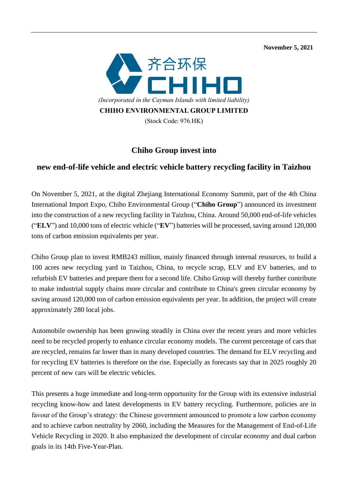**November 5, 2021** 



## **Chiho Group invest into**

## **new end-of-life vehicle and electric vehicle battery recycling facility in Taizhou**

On November 5, 2021, at the digital Zhejiang International Economy Summit, part of the 4th China International Import Expo, Chiho Environmental Group ("**Chiho Group**") announced its investment into the construction of a new recycling facility in Taizhou, China. Around 50,000 end-of-life vehicles ("**ELV**") and 10,000 tons of electric vehicle ("**EV**") batteries will be processed, saving around 120,000 tons of carbon emission equivalents per year.

Chiho Group plan to invest RMB243 million, mainly financed through internal resources, to build a 100 acres new recycling yard in Taizhou, China, to recycle scrap, ELV and EV batteries, and to refurbish EV batteries and prepare them for a second life. Chiho Group will thereby further contribute to make industrial supply chains more circular and contribute to China's green circular economy by saving around 120,000 ton of carbon emission equivalents per year. In addition, the project will create approximately 280 local jobs.

Automobile ownership has been growing steadily in China over the recent years and more vehicles need to be recycled properly to enhance circular economy models. The current percentage of cars that are recycled, remains far lower than in many developed countries. The demand for ELV recycling and for recycling EV batteries is therefore on the rise. Especially as forecasts say that in 2025 roughly 20 percent of new cars will be electric vehicles.

This presents a huge immediate and long-term opportunity for the Group with its extensive industrial recycling know-how and latest developments in EV battery recycling. Furthermore, policies are in favour of the Group's strategy: the Chinese government announced to promote a low carbon economy and to achieve carbon neutrality by 2060, including the Measures for the Management of End-of-Life Vehicle Recycling in 2020. It also emphasized the development of circular economy and dual carbon goals in its 14th Five-Year-Plan.